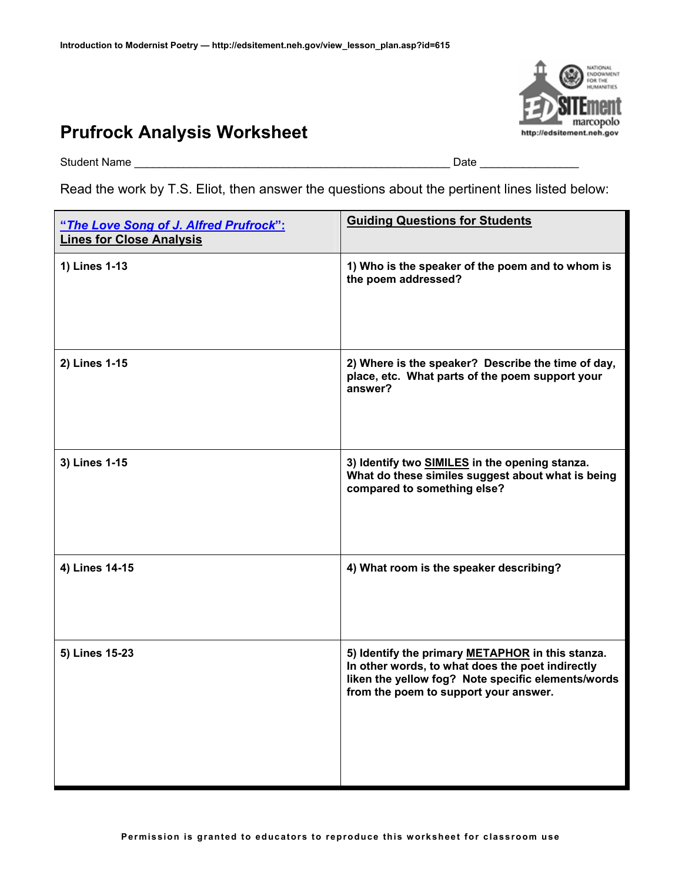## **Prufrock Analysis Worksheet**



Student Name \_\_\_\_\_\_\_\_\_\_\_\_\_\_\_\_\_\_\_\_\_\_\_\_\_\_\_\_\_\_\_\_\_\_\_\_\_\_\_\_\_\_\_\_\_\_\_\_\_\_\_ Date \_\_\_\_\_\_\_\_\_\_\_\_\_\_\_\_

Read the work by T.S. Eliot, then answer the questions about the pertinent lines listed below:

| "The Love Song of J. Alfred Prufrock":<br><b>Lines for Close Analysis</b> | <b>Guiding Questions for Students</b>                                                                                                                                                               |
|---------------------------------------------------------------------------|-----------------------------------------------------------------------------------------------------------------------------------------------------------------------------------------------------|
| 1) Lines 1-13                                                             | 1) Who is the speaker of the poem and to whom is<br>the poem addressed?                                                                                                                             |
| 2) Lines 1-15                                                             | 2) Where is the speaker? Describe the time of day,<br>place, etc. What parts of the poem support your<br>answer?                                                                                    |
| 3) Lines 1-15                                                             | 3) Identify two SIMILES in the opening stanza.<br>What do these similes suggest about what is being<br>compared to something else?                                                                  |
| 4) Lines 14-15                                                            | 4) What room is the speaker describing?                                                                                                                                                             |
| 5) Lines 15-23                                                            | 5) Identify the primary METAPHOR in this stanza.<br>In other words, to what does the poet indirectly<br>liken the yellow fog? Note specific elements/words<br>from the poem to support your answer. |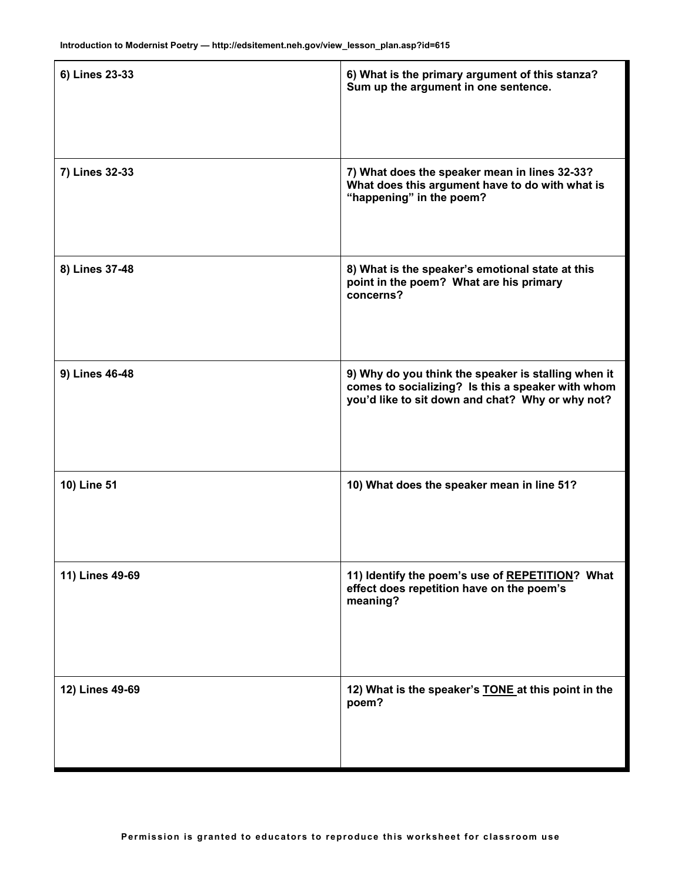| 6) Lines 23-33  | 6) What is the primary argument of this stanza?<br>Sum up the argument in one sentence.                                                                      |
|-----------------|--------------------------------------------------------------------------------------------------------------------------------------------------------------|
| 7) Lines 32-33  | 7) What does the speaker mean in lines 32-33?<br>What does this argument have to do with what is<br>"happening" in the poem?                                 |
| 8) Lines 37-48  | 8) What is the speaker's emotional state at this<br>point in the poem? What are his primary<br>concerns?                                                     |
| 9) Lines 46-48  | 9) Why do you think the speaker is stalling when it<br>comes to socializing? Is this a speaker with whom<br>you'd like to sit down and chat? Why or why not? |
| 10) Line 51     | 10) What does the speaker mean in line 51?                                                                                                                   |
| 11) Lines 49-69 | 11) Identify the poem's use of REPETITION? What<br>effect does repetition have on the poem's<br>meaning?                                                     |
| 12) Lines 49-69 | 12) What is the speaker's <b>TONE</b> at this point in the<br>poem?                                                                                          |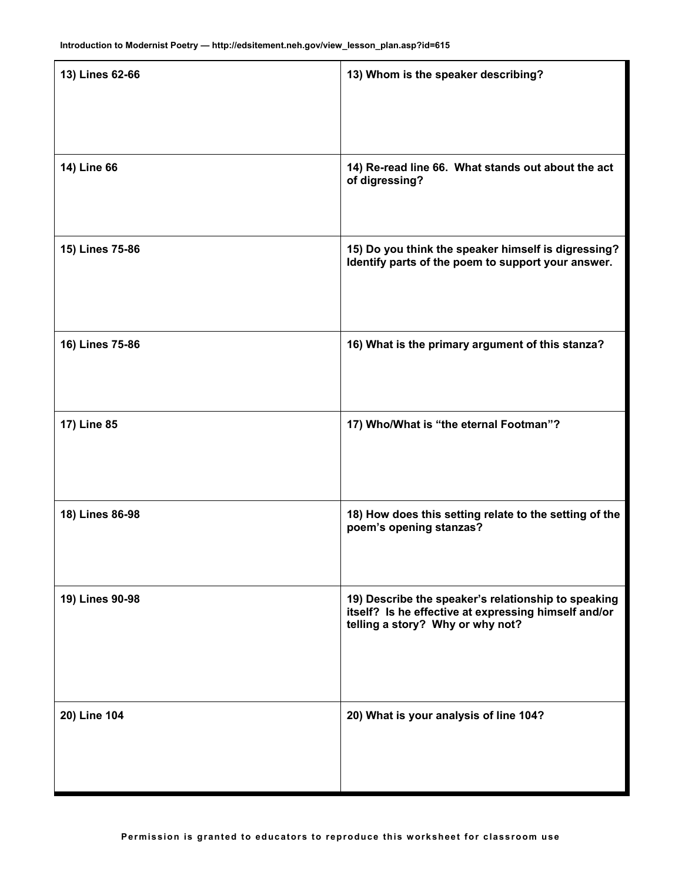| 13) Lines 62-66 | 13) Whom is the speaker describing?                                                                                                             |
|-----------------|-------------------------------------------------------------------------------------------------------------------------------------------------|
| 14) Line 66     | 14) Re-read line 66. What stands out about the act<br>of digressing?                                                                            |
| 15) Lines 75-86 | 15) Do you think the speaker himself is digressing?<br>Identify parts of the poem to support your answer.                                       |
| 16) Lines 75-86 | 16) What is the primary argument of this stanza?                                                                                                |
| 17) Line 85     | 17) Who/What is "the eternal Footman"?                                                                                                          |
| 18) Lines 86-98 | 18) How does this setting relate to the setting of the<br>poem's opening stanzas?                                                               |
| 19) Lines 90-98 | 19) Describe the speaker's relationship to speaking<br>itself? Is he effective at expressing himself and/or<br>telling a story? Why or why not? |
| 20) Line 104    | 20) What is your analysis of line 104?                                                                                                          |